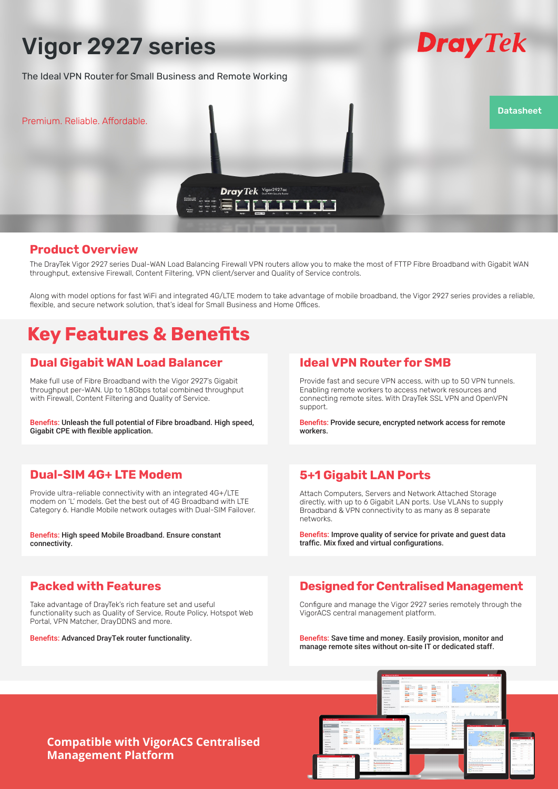# Vigor 2927 series

The Ideal VPN Router for Small Business and Remote Working



## **Product Overview**

The DrayTek Vigor 2927 series Dual-WAN Load Balancing Firewall VPN routers allow you to make the most of FTTP Fibre Broadband with Gigabit WAN throughput, extensive Firewall, Content Filtering, VPN client/server and Quality of Service controls.

Along with model options for fast WiFi and integrated 4G/LTE modem to take advantage of mobile broadband, the Vigor 2927 series provides a reliable, flexible, and secure network solution, that's ideal for Small Business and Home Offices.

# **Key Features & Benefits**

## **Dual Gigabit WAN Load Balancer**

Make full use of Fibre Broadband with the Vigor 2927's Gigabit throughput per-WAN. Up to 1.8Gbps total combined throughput with Firewall, Content Filtering and Quality of Service.

Benefits: Unleash the full potential of Fibre broadband. High speed, Gigabit CPE with flexible application.

## **Dual-SIM 4G+ LTE Modem**

Provide ultra-reliable connectivity with an integrated 4G+/LTE modem on 'L' models. Get the best out of 4G Broadband with LTE Category 6. Handle Mobile network outages with Dual-SIM Failover.

Benefits: High speed Mobile Broadband. Ensure constant connectivity.

## **Packed with Features**

Take advantage of DrayTek's rich feature set and useful functionality such as Quality of Service, Route Policy, Hotspot Web Portal, VPN Matcher, DrayDDNS and more.

Benefits: Advanced DrayTek router functionality.

# **Ideal VPN Router for SMB**

Provide fast and secure VPN access, with up to 50 VPN tunnels. Enabling remote workers to access network resources and connecting remote sites. With DrayTek SSL VPN and OpenVPN support.

**Dray** Tek

Benefits: Provide secure, encrypted network access for remote workers.

# **5+1 Gigabit LAN Ports**

Attach Computers, Servers and Network Attached Storage directly, with up to 6 Gigabit LAN ports. Use VLANs to supply Broadband & VPN connectivity to as many as 8 separate networks.

Benefits: Improve quality of service for private and guest data traffic. Mix fixed and virtual configurations.

# **Designed for Centralised Management**

Configure and manage the Vigor 2927 series remotely through the VigorACS central management platform.

Benefits: Save time and money. Easily provision, monitor and manage remote sites without on-site IT or dedicated staff.



## **Compatible with VigorACS Centralised Management Platform**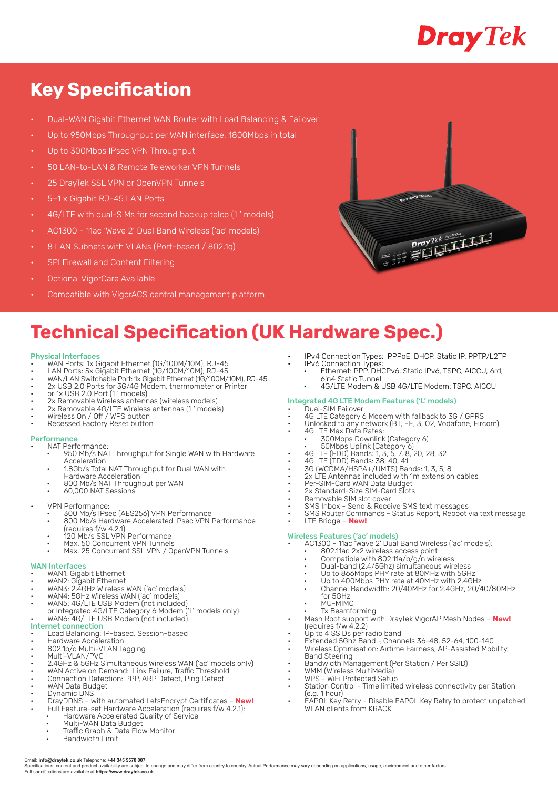# Dray Tek

# **Key Specification**

- Dual-WAN Gigabit Ethernet WAN Router with Load Balancing & Failover
- Up to 950Mbps Throughput per WAN interface, 1800Mbps in total
- Up to 300Mbps IPsec VPN Throughput
- 50 LAN-to-LAN & Remote Teleworker VPN Tunnels
- 25 DrayTek SSL VPN or OpenVPN Tunnels
- 5+1 x Gigabit RJ-45 LAN Ports
- 4G/LTE with dual-SIMs for second backup telco ('L' models)
- AC1300 11ac 'Wave 2' Dual Band Wireless ('ac' models)
- 8 LAN Subnets with VLANs (Port-based / 802.1q)
- **SPI Firewall and Content Filtering**
- Optional VigorCare Available
- Compatible with VigorACS central management platform



# **Technical Specification (UK Hardware Spec.)**

### Physical Interfaces

- WAN Ports: 1x Gigabit Ethernet (1G/100M/10M), RJ-45
- LAN Ports: 5x Gigabit Ethernet (1G/100M/10M), RJ-45
- WAN/LAN Switchable Port: 1x Gigabit Ethernet (1G/100M/10M), RJ-45 • 2x USB 2.0 Ports for 3G/4G Modem, thermometer or Printer
- or 1x USB 2.0 Port ('L' models)
- 
- 2x Removable Wireless antennas (wireless models) • 2x Removable 4G/LTE Wireless antennas ('L' models)
- Wireless On / Off / WPS button
- Recessed Factory Reset button

## **Performance**

- NAT Performance:
	- 950 Mb/s NAT Throughput for Single WAN with Hardware Acceleration
	- 1.8Gb/s Total NAT Throughput for Dual WAN with
	- Hardware Acceleration
	- 800 Mb/s NAT Throughput per WAN • 60,000 NAT Sessions
- VPN Performance:
	- 300 Mb/s IPsec (AES256) VPN Performance
	- 800 Mb/s Hardware Accelerated IPsec VPN Performance
		- (requires f/w 4.2.1)
		- 120 Mb/s SSL VPN Performance
	- Max. 50 Concurrent VPN Tunnels • Max. 25 Concurrent SSL VPN / OpenVPN Tunnels
- WAN Interfaces
- WAN1: Gigabit Ethernet
- WAN2: Gigabit Ethernet
- WAN3: 2.4GHz Wireless WAN ('ac' models)
- WAN4: 5GHz Wireless WAN ('ac' models) • WAN5: 4G/LTE USB Modem (not included)
- or Integrated 4G/LTE Category 6 Modem ('L' models only) • WAN6: 4G/LTE USB Modem (not included)

### Internet connection

- Load Balancing: IP-based, Session-based
- Hardware Acceleration
- 802.1p/q Multi-VLAN Tagging
- Multi-VLAN/PVC
- 2.4GHz & 5GHz Simultaneous Wireless WAN ('ac' models only) • WAN Active on Demand: Link Failure, Traffic Threshold
- Connection Detection: PPP, ARP Detect, Ping Detect
- WAN Data Budget
- Dynamic DNS
- DrayDDNS with automated LetsEncrypt Certificates **New!** Full Feature-set Hardware Acceleration (requires f/w 4.2.1):
- Hardware Accelerated Quality of Service
- Multi-WAN Data Budget Traffic Graph & Data Flow Monitor
	-
	- Bandwidth Limit
- IPv4 Connection Types: PPPoE, DHCP, Static IP, PPTP/L2TP • IPv6 Connection Types:
- Ethernet: PPP, DHCPv6, Static IPv6, TSPC, AICCU, 6rd, 6in4 Static Tunnel
	- 4G/LTE Modem & USB 4G/LTE Modem: TSPC, AICCU

- Integrated 4G LTE Modem Features ('L' models) Dual-SIM Failover
- 4G LTE Category 6 Modem with fallback to 3G / GPRS
- Unlocked to any network (BT, EE, 3, 02, Vodafone, Eircom)
- 4G LTE Max Data Rates:
- 300Mbps Downlink (Category 6) • 50Mbps Uplink (Category 6)
- 4G LTE (FDD) Bands: 1, 3, 5, 7, 8, 20, 28, 32
- 4G LTE (TDD) Bands: 38, 40, 41
- 3G (WCDMA/HSPA+/UMTS) Bands: 1, 3, 5, 8
- 2x LTE Antennas included with 1m extension cables
- Per-SIM-Card WAN Data Budget
- 2x Standard-Size SIM-Card Slots
- Removable SIM slot cover
- SMS Inbox Send & Receive SMS text messages
- SMS Router Commands Status Report, Reboot via text message • LTE Bridge – **New!**

### Wireless Features ('ac' models)

- AC1300 11ac 'Wave 2' Dual Band Wireless ('ac' models):
	- 802.11ac 2x2 wireless access point
	- Compatible with 802.11a/b/g/n wireless
	- Dual-band (2.4/5Ghz) simultaneous wireless
	- Up to 866Mbps PHY rate at 80MHz with 5GHz • Up to 400Mbps PHY rate at 40MHz with 2.4GHz
	- Channel Bandwidth: 20/40MHz for 2.4GHz, 20/40/80MHz
	- for 5GHz
	- MU-MIMO
- Tx Beamforming • Mesh Root support with DrayTek VigorAP Mesh Nodes – **New!** (requires f/w 4.2.2)
- Up to 4 SSIDs per radio band
- Extended 5Ghz Band Channels 36-48, 52-64, 100-140
- Wireless Optimisation: Airtime Fairness, AP-Assisted Mobility,
- Band Steering • Bandwidth Management (Per Station / Per SSID)
- WMM (Wireless MultiMedia)
- WPS WiFi Protected Setup
- Station Control Time limited wireless connectivity per Station (e.g. 1 hour)
- EAPOL Key Retry Disable EAPOL Key Retry to protect unpatched WLAN clients from KRACK

Email: **info@draytek.co.uk** Telephone: **+44 345 5570 007**

Specifications, content and product availability are subject to change and may differ from country to country. Actual Performance may vary depending on applications, usage, environment and other factors Full specifications are available at **https://www.draytek.co.uk**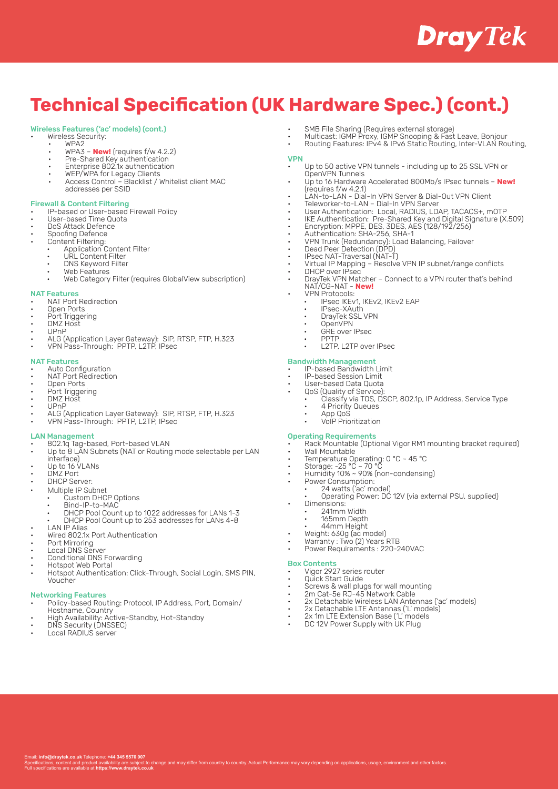# **Dray** Tek

# **Technical Specification (UK Hardware Spec.) (cont.)**

## Wireless Features ('ac' models) (cont.)

- Wireless Security:
- WPA2 • WPA3 – **New!** (requires f/w 4.2.2)
- Pre-Shared Key authentication
- Enterprise 802.1x authentication
- WEP/WPA for Legacy Clients
- Access Control Blacklist / Whitelist client MAC addresses per SSID

## Firewall & Content Filtering

- IP-based or User-based Firewall Policy
- User-based Time Quota
- DoS Attack Defence
- Spoofing Defence
- Content Filtering:
	- Application Content Filter
	- URL Content Filter
	- DNS Keyword Filter
	- Web Features
	- Web Category Filter (requires GlobalView subscription)

### NAT Features

- NAT Port Redirection
- Open Ports
- Port Triggering
- DMZ Host • UPnP
- 
- ALG (Application Layer Gateway): SIP, RTSP, FTP, H.323 • VPN Pass-Through: PPTP, L2TP, IPsec

### NAT Features

- Auto Configuration
- NAT Port Redirection
- Open Ports
- Port Triggering • DMZ Host
- UPnP
- ALG (Application Layer Gateway): SIP, RTSP, FTP, H.323
- VPN Pass-Through: PPTP, L2TP, IPsec

### LAN Management

- 802.1q Tag-based, Port-based VLAN
- Up to 8 LAN Subnets (NAT or Routing mode selectable per LAN interface)
- Up to 16 VLANs
- DMZ Port
- **DHCP Server:**
- Multiple IP Subnet
- pic in Gubrict<br>Custom DHCP Options
- Bind-IP-to-MAC
- DHCP Pool Count up to 1022 addresses for LANs 1-3 • DHCP Pool Count up to 253 addresses for LANs 4-8
- **LAN IP Alias**
- Wired 802.1x Port Authentication
- 
- Port Mirroring Local DNS Server
- Conditional DNS Forwarding
- Hotspot Web Portal
- Hotspot Authentication: Click-Through, Social Login, SMS PIN, Voucher

## Networking Features

- Policy-based Routing: Protocol, IP Address, Port, Domain/ Hostname, Country
- High Availability: Active-Standby, Hot-Standby
- DNS Security (DNSSEC)

Email: **info@draytek.co.uk** Telephone: **+44 345 5570 007**

Full specifications are available at **https://www.draytek.co.uk**

• Local RADIUS server

- SMB File Sharing (Requires external storage)
- Multicast: IGMP Proxy, IGMP Snooping & Fast Leave, Bonjour
- Routing Features: IPv4 & IPv6 Static Routing, Inter-VLAN Routing,

## VPN

- Up to 50 active VPN tunnels including up to 25 SSL VPN or OpenVPN Tunnels
- Up to 16 Hardware Accelerated 800Mb/s IPsec tunnels **New!**  (requires f/w 4.2.1)
- LAN-to-LAN Dial-In VPN Server & Dial-Out VPN Client
- Teleworker-to-LAN Dial-In VPN Server
- User Authentication: Local, RADIUS, LDAP, TACACS+, mOTP
- IKE Authentication: Pre-Shared Key and Digital Signature (X.509)
- Encryption: MPPE, DES, 3DES, AES (128/192/256)
- Authentication: SHA-256, SHA-1
- VPN Trunk (Redundancy): Load Balancing, Failover
- Dead Peer Detection (DPD) • IPsec NAT-Traversal (NAT-T)
- Virtual IP Mapping Resolve VPN IP subnet/range conflicts
- DHCP over IPsec
- DrayTek VPN Matcher Connect to a VPN router that's behind NAT/CG-NAT - **New!**
	- VPN Protocols:
	- IPsec IKEv1, IKEv2, IKEv2 EAP
	- IPsec-XAuth • DrayTek SSL VPN
	- OpenVPN
	- **GRE** over IPsec
	- PPTP
	- L2TP, L2TP over IPsec

## Bandwidth Management

- IP-based Bandwidth Limit
- IP-based Session Limit • User-based Data Quota
- QoS (Quality of Service):
	- Classify via TOS, DSCP, 802.1p, IP Address, Service Type
	- 4 Priority Queues
	- App QoS
	- VoIP Prioritization

### Operating Requirements

- Rack Mountable (Optional Vigor RM1 mounting bracket required)
- Wall Mountable
- Temperature Operating: 0 °C ~ 45 °C
- Storage: -25 °C ~ 70 °C
- Humidity 10% ~ 90% (non-condensing)

Power Requirements : 220-240VAC

Screws & wall plugs for wall mounting • 2m Cat-5e RJ-45 Network Cable

• 2x Detachable LTE Antennas ('L' models) • 2x 1m LTE Extension Base ('L' models • DC 12V Power Supply with UK Plug

• 2x Detachable Wireless LAN Antennas ('ac' models)

- Power Consumption:
	- 24 watts ('ac' model) • Operating Power: DC 12V (via external PSU, supplied)
	- Dimensions:

Box Contents

ffer from country to country. Actual Performance may vary depending on applications, usage, environment and other fa

- 241mm Width
- 165mm Depth • 44mm Height • Weight: 630g (ac model)

• Warranty : Two (2) Years RTB

• Vigor 2927 series router • Quick Start Guide